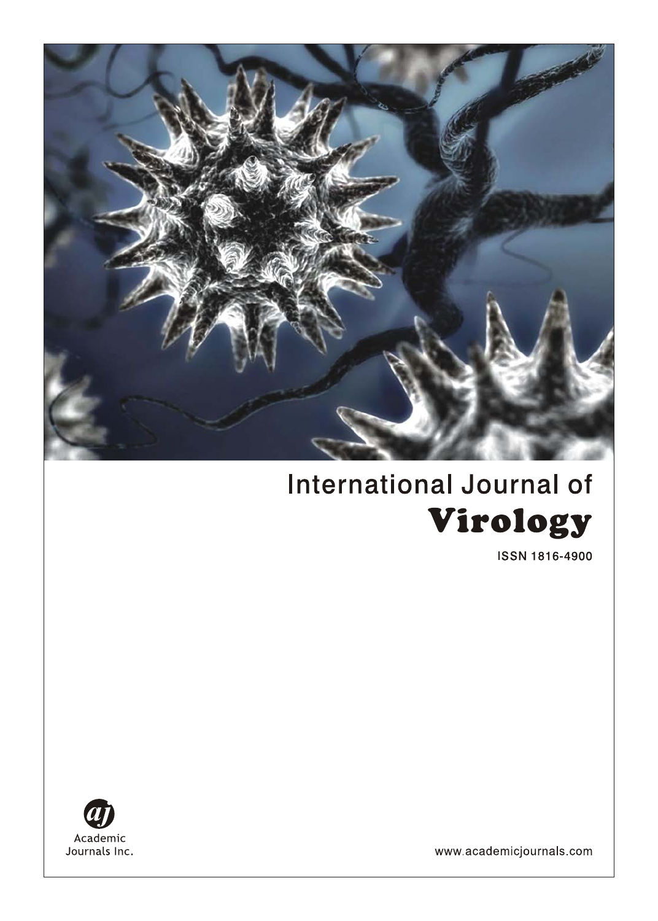

# **International Journal of** Virology

**ISSN 1816-4900** 



www.academicjournals.com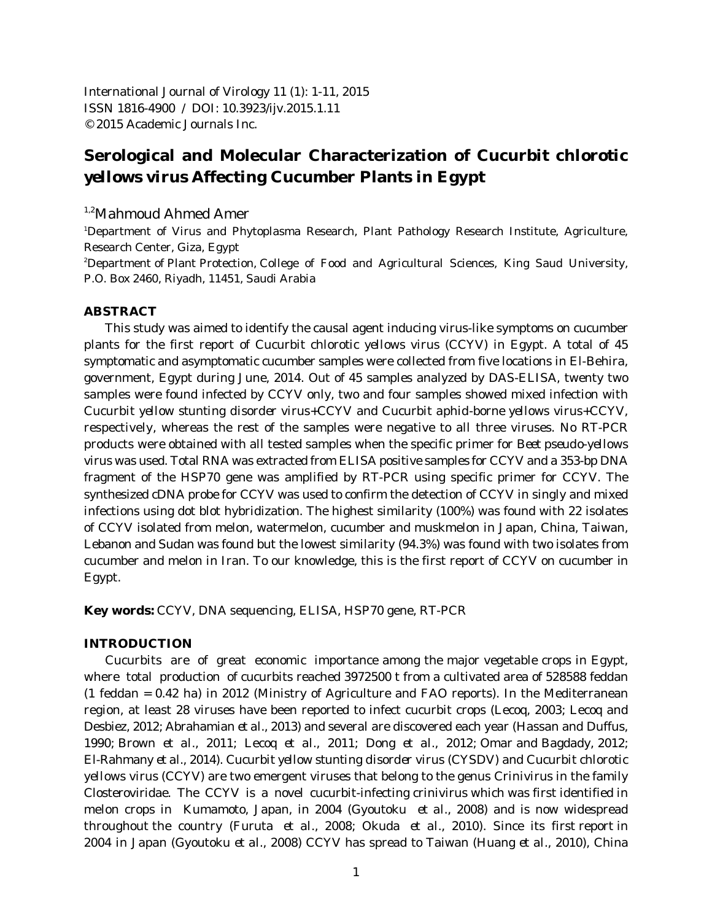International Journal of Virology 11 (1): 1-11, 2015 ISSN 1816-4900 / DOI: 10.3923/ijv.2015.1.11 © 2015 Academic Journals Inc.

## **Serological and Molecular Characterization of** *Cucurbit chlorotic yellows virus* **Affecting Cucumber Plants in Egypt**

## $1,2$ Mahmoud Ahmed Amer

'Department of Virus and Phytoplasma Research, Plant Pathology Research Institute, Agriculture, Research Center, Giza, Egypt

<sup>2</sup>Department of Plant Protection, College of Food and Agricultural Sciences, King Saud University, P.O. Box 2460, Riyadh, 11451, Saudi Arabia

## **ABSTRACT**

This study was aimed to identify the causal agent inducing virus-like symptoms on cucumber plants for the first report of *Cucurbit chlorotic yellows virus* (CCYV) in Egypt. A total of 45 symptomatic and asymptomatic cucumber samples were collected from five locations in El-Behira, government, Egypt during June, 2014. Out of 45 samples analyzed by DAS-ELISA, twenty two samples were found infected by CCYV only, two and four samples showed mixed infection with *Cucurbit yellow stunting disorder virus*+CCYV and *Cucurbit aphid-borne yellows virus*+CCYV, respectively, whereas the rest of the samples were negative to all three viruses. No RT-PCR products were obtained with all tested samples when the specific primer for *Beet pseudo-yellows virus* was used. Total RNA was extracted from ELISA positive samples for CCYV and a 353-bp DNA fragment of the HSP70 gene was amplified by RT-PCR using specific primer for CCYV. The synthesized cDNA probe for CCYV was used to confirm the detection of CCYV in singly and mixed infections using dot blot hybridization. The highest similarity (100%) was found with 22 isolates of CCYV isolated from melon, watermelon, cucumber and muskmelon in Japan, China, Taiwan, Lebanon and Sudan was found but the lowest similarity (94.3%) was found with two isolates from cucumber and melon in Iran. To our knowledge, this is the first report of CCYV on cucumber in Egypt.

**Key words:** CCYV, DNA sequencing, ELISA, HSP70 gene, RT-PCR

## **INTRODUCTION**

Cucurbits are of great economic importance among the major vegetable crops in Egypt, where total production of cucurbits reached 3972500 t from a cultivated area of 528588 feddan (1 feddan = 0.42 ha) in 2012 (Ministry of Agriculture and FAO reports). In the Mediterranean region, at least 28 viruses have been reported to infect cucurbit crops (Lecoq, 2003; Lecoq and Desbiez, 2012; Abrahamian *et al*., 2013) and several are discovered each year (Hassan and Duffus, 1990; Brown *et al*., 2011; Lecoq *et al.*, 2011; Dong *et al*., 2012; Omar and Bagdady, 2012; El-Rahmany *et al*., 2014). *Cucurbit yellow stunting disorder virus* (CYSDV) and *Cucurbit chlorotic yellows virus* (CCYV) are two emergent viruses that belong to the genus *Crinivirus* in the family Closteroviridae. The CCYV is a novel cucurbit-infecting crinivirus which was first identified in melon crops in Kumamoto, Japan, in 2004 (Gyoutoku *et al*., 2008) and is now widespread throughout the country (Furuta *et al*., 2008; Okuda *et al*., 2010). Since its first report in 2004 in Japan (Gyoutoku *et al*., 2008) CCYV has spread to Taiwan (Huang *et al*., 2010), China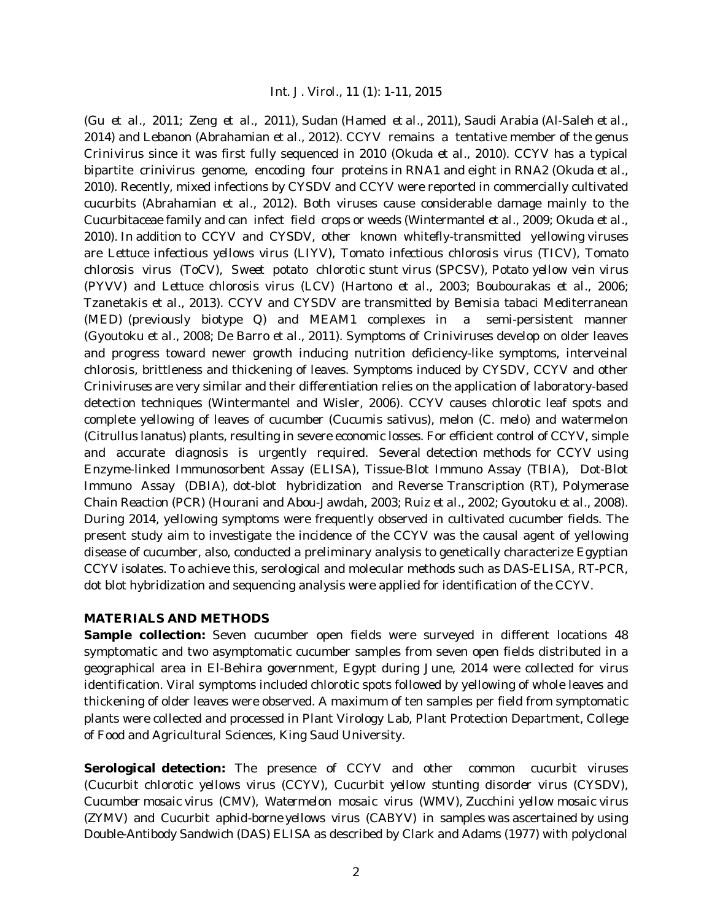(Gu *et al*., 2011; Zeng *et al*., 2011), Sudan (Hamed *et al.*, 2011), Saudi Arabia (Al-Saleh *et al.*, 2014) and Lebanon (Abrahamian *et al*., 2012). CCYV remains a tentative member of the genus *Crinivirus* since it was first fully sequenced in 2010 (Okuda *et al*., 2010). CCYV has a typical bipartite crinivirus genome, encoding four proteins in RNA1 and eight in RNA2 (Okuda *et al*., 2010). Recently, mixed infections by CYSDV and CCYV were reported in commercially cultivated cucurbits (Abrahamian *et al.*, 2012). Both viruses cause considerable damage mainly to the Cucurbitaceae family and can infect field crops or weeds (Wintermantel *et al*., 2009; Okuda *et al*., 2010). In addition to CCYV and CYSDV, other known whitefly-transmitted yellowing viruses are *Lettuce infectious yellows virus* (LIYV), *Tomato infectious chlorosis virus* (TICV), *Tomato chlorosis virus* (ToCV), *Sweet potato chlorotic stunt virus* (SPCSV), *Potato yellow vein virus* (PYVV) and *Lettuce chlorosis virus* (LCV) (Hartono *et al*., 2003; Boubourakas *et al*., 2006; Tzanetakis *et al*., 2013). CCYV and CYSDV are transmitted by *Bemisia tabaci* Mediterranean (MED) (previously biotype Q) and MEAM1 complexes in a semi-persistent manner (Gyoutoku *et al*., 2008; De Barro *et al*., 2011). Symptoms of *Criniviruses* develop on older leaves and progress toward newer growth inducing nutrition deficiency-like symptoms, interveinal chlorosis, brittleness and thickening of leaves. Symptoms induced by CYSDV, CCYV and other *Criniviruses* are very similar and their differentiation relies on the application of laboratory-based detection techniques (Wintermantel and Wisler, 2006). CCYV causes chlorotic leaf spots and complete yellowing of leaves of cucumber (*Cucumis sativus*), melon (*C. melo*) and watermelon (*Citrullus lanatus*) plants, resulting in severe economic losses. For efficient control of CCYV, simple and accurate diagnosis is urgently required. Several detection methods for CCYV using Enzyme-linked Immunosorbent Assay (ELISA), Tissue-Blot Immuno Assay (TBIA), Dot-Blot Immuno Assay (DBIA), dot-blot hybridization and Reverse Transcription (RT), Polymerase Chain Reaction (PCR) (Hourani and Abou-Jawdah, 2003; Ruiz *et al*., 2002; Gyoutoku *et al*., 2008). During 2014, yellowing symptoms were frequently observed in cultivated cucumber fields. The present study aim to investigate the incidence of the CCYV was the causal agent of yellowing disease of cucumber, also, conducted a preliminary analysis to genetically characterize Egyptian CCYV isolates. To achieve this, serological and molecular methods such as DAS-ELISA, RT-PCR, dot blot hybridization and sequencing analysis were applied for identification of the CCYV.

## **MATERIALS AND METHODS**

**Sample collection:** Seven cucumber open fields were surveyed in different locations 48 symptomatic and two asymptomatic cucumber samples from seven open fields distributed in a geographical area in El-Behira government, Egypt during June, 2014 were collected for virus identification. Viral symptoms included chlorotic spots followed by yellowing of whole leaves and thickening of older leaves were observed. A maximum of ten samples per field from symptomatic plants were collected and processed in Plant Virology Lab, Plant Protection Department, College of Food and Agricultural Sciences, King Saud University.

**Serological detection:** The presence of CCYV and other common cucurbit viruses (*Cucurbit chlorotic yellows virus* (CCYV), *Cucurbit yellow stunting disorder virus* (CYSDV), *Cucumber mosaic virus* (CMV), *Watermelon mosaic virus* (WMV), *Zucchini yellow mosaic virus* (ZYMV) and *Cucurbit aphid-borne yellows virus* (CABYV) in samples was ascertained by using Double-Antibody Sandwich (DAS) ELISA as described by Clark and Adams (1977) with polyclonal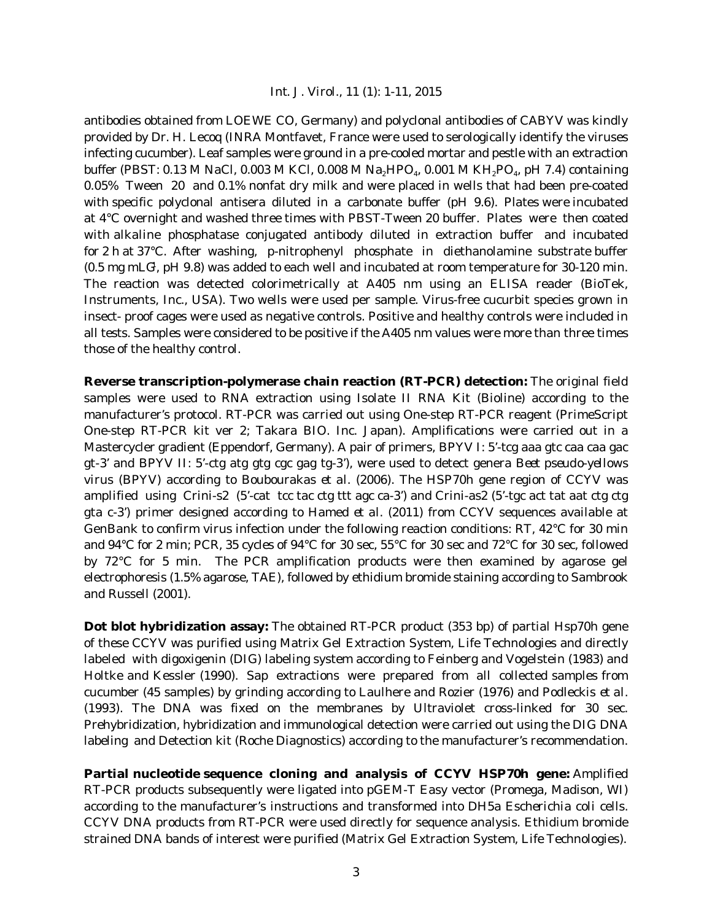antibodies obtained from LOEWE CO, Germany) and polyclonal antibodies of CABYV was kindly provided by Dr. H. Lecoq (INRA Montfavet, France were used to serologically identify the viruses infecting cucumber). Leaf samples were ground in a pre-cooled mortar and pestle with an extraction buffer (PBST: 0.13 M NaCl, 0.003 M KCl, 0.008 M Na<sub>2</sub>HPO<sub>4</sub>, 0.001 M KH<sub>2</sub>PO<sub>4</sub>, pH 7.4) containing 0.05% Tween 20 and 0.1% nonfat dry milk and were placed in wells that had been pre-coated with specific polyclonal antisera diluted in a carbonate buffer (pH 9.6). Plates were incubated at 4°C overnight and washed three times with PBST-Tween 20 buffer. Plates were then coated with alkaline phosphatase conjugated antibody diluted in extraction buffer and incubated for 2 h at 37°C. After washing, p-nitrophenyl phosphate in diethanolamine substrate buffer  $(0.5 \text{ mg mL}$ G<sup>1</sup>, pH 9.8) was added to each well and incubated at room temperature for 30-120 min. The reaction was detected colorimetrically at A405 nm using an ELISA reader (BioTek, Instruments, Inc., USA). Two wells were used per sample. Virus-free cucurbit species grown in insect- proof cages were used as negative controls. Positive and healthy controls were included in all tests. Samples were considered to be positive if the A405 nm values were more than three times those of the healthy control.

**Reverse transcription-polymerase chain reaction (RT-PCR) detection:** The original field samples were used to RNA extraction using Isolate II RNA Kit (Bioline) according to the manufacturer's protocol. RT-PCR was carried out using One-step RT-PCR reagent (PrimeScript One-step RT-PCR kit ver 2; Takara BIO. Inc. Japan). Amplifications were carried out in a Mastercycler gradient (Eppendorf, Germany). A pair of primers, BPYV I: 5'-tcg aaa gtc caa caa gac gt-3' and BPYV II: 5'-ctg atg gtg cgc gag tg-3'), were used to detect genera *Beet pseudo-yellows virus* (BPYV) according to Boubourakas *et al*. (2006). The HSP70h gene region of CCYV was amplified using Crini-s2 (5'-cat tcc tac ctg ttt agc ca-3') and Crini-as2 (5'-tgc act tat aat ctg ctg gta c-3') primer designed according to Hamed *et al*. (2011) from CCYV sequences available at GenBank to confirm virus infection under the following reaction conditions: RT, 42°C for 30 min and 94°C for 2 min; PCR, 35 cycles of 94°C for 30 sec, 55°C for 30 sec and 72°C for 30 sec, followed by 72°C for 5 min. The PCR amplification products were then examined by agarose gel electrophoresis (1.5% agarose, TAE), followed by ethidium bromide staining according to Sambrook and Russell (2001).

**Dot blot hybridization assay:** The obtained RT-PCR product (353 bp) of partial Hsp70h gene of these CCYV was purified using Matrix Gel Extraction System, Life Technologies and directly labeled with digoxigenin (DIG) labeling system according to Feinberg and Vogelstein (1983) and Holtke and Kessler (1990). Sap extractions were prepared from all collected samples from cucumber (45 samples) by grinding according to Laulhere and Rozier (1976) and Podleckis *et al*. (1993). The DNA was fixed on the membranes by Ultraviolet cross-linked for 30 sec. Prehybridization, hybridization and immunological detection were carried out using the DIG DNA labeling and Detection kit (Roche Diagnostics) according to the manufacturer's recommendation.

**Partial nucleotide sequence cloning and analysis of CCYV HSP70h gene:** Amplified RT-PCR products subsequently were ligated into pGEM-T Easy vector (Promega, Madison, WI) according to the manufacturer's instructions and transformed into DH5a *Escherichia coli* cells. CCYV DNA products from RT-PCR were used directly for sequence analysis. Ethidium bromide strained DNA bands of interest were purified (Matrix Gel Extraction System, Life Technologies).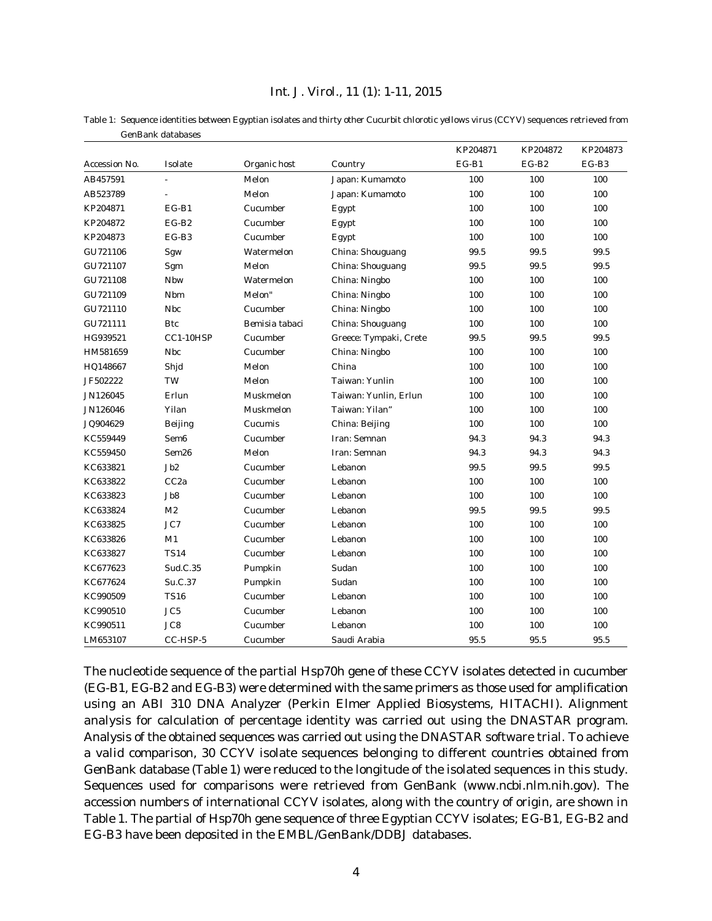Table 1: Sequence identities between Egyptian isolates and thirty other *Cucurbit chlorotic yellows virus* (CCYV) sequences retrieved from GenBank databases

|               |                  |                |                        | KP204871 | KP204872 | KP204873 |
|---------------|------------------|----------------|------------------------|----------|----------|----------|
| Accession No. | Isolate          | Organic host   | Country                | $EG-B1$  | $EG-B2$  | $EG-B3$  |
| AB457591      | ä,               | Melon          | Japan: Kumamoto        | 100      | 100      | 100      |
| AB523789      |                  | Melon          | Japan: Kumamoto        | 100      | 100      | 100      |
| KP204871      | $EG-B1$          | Cucumber       | Egypt                  | 100      | 100      | 100      |
| KP204872      | $EG-B2$          | Cucumber       | Egypt                  | 100      | 100      | 100      |
| KP204873      | $EG-B3$          | Cucumber       | Egypt                  | 100      | 100      | 100      |
| GU721106      | Sgw              | Watermelon     | China: Shouguang       | 99.5     | 99.5     | 99.5     |
| GU721107      | Sgm              | Melon          | China: Shouguang       | 99.5     | 99.5     | 99.5     |
| GU721108      | Nbw              | Watermelon     | China: Ningbo          | 100      | 100      | 100      |
| GU721109      | Nbm              | Melon"         | China: Ningbo          | 100      | 100      | 100      |
| GU721110      | <b>Nbc</b>       | Cucumber       | China: Ningbo          | 100      | 100      | 100      |
| GU721111      | <b>Btc</b>       | Bemisia tabaci | China: Shouguang       | 100      | 100      | 100      |
| HG939521      | CC1-10HSP        | Cucumber       | Greece: Tympaki, Crete | 99.5     | 99.5     | 99.5     |
| HM581659      | <b>Nbc</b>       | Cucumber       | China: Ningbo          | 100      | 100      | 100      |
| HQ148667      | Shjd             | Melon          | China                  | 100      | 100      | 100      |
| JF502222      | TW               | Melon          | Taiwan: Yunlin         | 100      | 100      | 100      |
| JN126045      | Erlun            | Muskmelon      | Taiwan: Yunlin, Erlun  | 100      | 100      | 100      |
| JN126046      | Yilan            | Muskmelon      | Taiwan: Yilan"         | 100      | 100      | 100      |
| JQ904629      | Beijing          | Cucumis        | China: Beijing         | 100      | 100      | 100      |
| KC559449      | Sem <sub>6</sub> | Cucumber       | Iran: Semnan           | 94.3     | 94.3     | 94.3     |
| KC559450      | Sem26            | Melon          | Iran: Semnan           | 94.3     | 94.3     | 94.3     |
| KC633821      | Jb2              | Cucumber       | Lebanon                | 99.5     | 99.5     | 99.5     |
| KC633822      | CC <sub>2a</sub> | Cucumber       | Lebanon                | 100      | 100      | 100      |
| KC633823      | Jb8              | Cucumber       | Lebanon                | 100      | 100      | 100      |
| KC633824      | M <sub>2</sub>   | Cucumber       | Lebanon                | 99.5     | 99.5     | 99.5     |
| KC633825      | JC7              | Cucumber       | Lebanon                | 100      | 100      | 100      |
| KC633826      | M1               | Cucumber       | Lebanon                | 100      | 100      | 100      |
| KC633827      | <b>TS14</b>      | Cucumber       | Lebanon                | 100      | 100      | 100      |
| KC677623      | Sud.C.35         | Pumpkin        | Sudan                  | 100      | 100      | 100      |
| KC677624      | Su.C.37          | Pumpkin        | Sudan                  | 100      | 100      | 100      |
| KC990509      | <b>TS16</b>      | Cucumber       | Lebanon                | 100      | 100      | 100      |
| KC990510      | JC <sub>5</sub>  | Cucumber       | Lebanon                | 100      | 100      | 100      |
| KC990511      | JC8              | Cucumber       | Lebanon                | 100      | 100      | 100      |
| LM653107      | CC-HSP-5         | Cucumber       | Saudi Arabia           | 95.5     | 95.5     | 95.5     |

The nucleotide sequence of the partial Hsp70h gene of these CCYV isolates detected in cucumber (EG-B1, EG-B2 and EG-B3) were determined with the same primers as those used for amplification using an ABI 310 DNA Analyzer (Perkin Elmer Applied Biosystems, HITACHI). Alignment analysis for calculation of percentage identity was carried out using the DNASTAR program. Analysis of the obtained sequences was carried out using the DNASTAR software trial. To achieve a valid comparison, 30 CCYV isolate sequences belonging to different countries obtained from GenBank database (Table 1) were reduced to the longitude of the isolated sequences in this study. Sequences used for comparisons were retrieved from GenBank (www.ncbi.nlm.nih.gov). The accession numbers of international CCYV isolates, along with the country of origin, are shown in Table 1. The partial of Hsp70h gene sequence of three Egyptian CCYV isolates; EG-B1, EG-B2 and EG-B3 have been deposited in the EMBL/GenBank/DDBJ databases.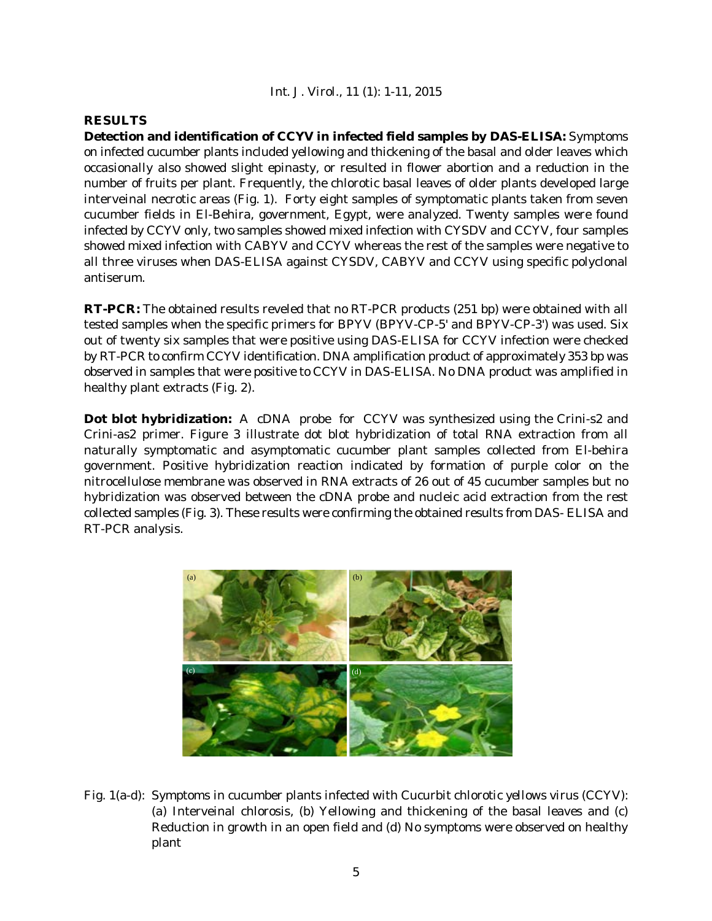## **RESULTS**

**Detection and identification of CCYV in infected field samples by DAS-ELISA:** Symptoms on infected cucumber plants included yellowing and thickening of the basal and older leaves which occasionally also showed slight epinasty, or resulted in flower abortion and a reduction in the number of fruits per plant. Frequently, the chlorotic basal leaves of older plants developed large interveinal necrotic areas (Fig. 1). Forty eight samples of symptomatic plants taken from seven cucumber fields in El-Behira, government, Egypt, were analyzed. Twenty samples were found infected by CCYV only, two samples showed mixed infection with CYSDV and CCYV, four samples showed mixed infection with CABYV and CCYV whereas the rest of the samples were negative to all three viruses when DAS-ELISA against CYSDV, CABYV and CCYV using specific polyclonal antiserum.

**RT-PCR:** The obtained results reveled that no RT-PCR products (251 bp) were obtained with all tested samples when the specific primers for BPYV (BPYV-CP-5' and BPYV-CP-3') was used. Six out of twenty six samples that were positive using DAS-ELISA for CCYV infection were checked by RT-PCR to confirm CCYV identification. DNA amplification product of approximately 353 bp was observed in samples that were positive to CCYV in DAS-ELISA. No DNA product was amplified in healthy plant extracts (Fig. 2).

**Dot blot hybridization:** A cDNA probe for CCYV was synthesized using the Crini-s2 and Crini-as2 primer. Figure 3 illustrate dot blot hybridization of total RNA extraction from all naturally symptomatic and asymptomatic cucumber plant samples collected from El-behira government. Positive hybridization reaction indicated by formation of purple color on the nitrocellulose membrane was observed in RNA extracts of 26 out of 45 cucumber samples but no hybridization was observed between the cDNA probe and nucleic acid extraction from the rest collected samples (Fig. 3). These results were confirming the obtained results from DAS- ELISA and RT-PCR analysis.



Fig. 1(a-d): Symptoms in cucumber plants infected with *Cucurbit chlorotic yellows virus* (CCYV): (a) Interveinal chlorosis, (b) Yellowing and thickening of the basal leaves and (c) Reduction in growth in an open field and (d) No symptoms were observed on healthy plant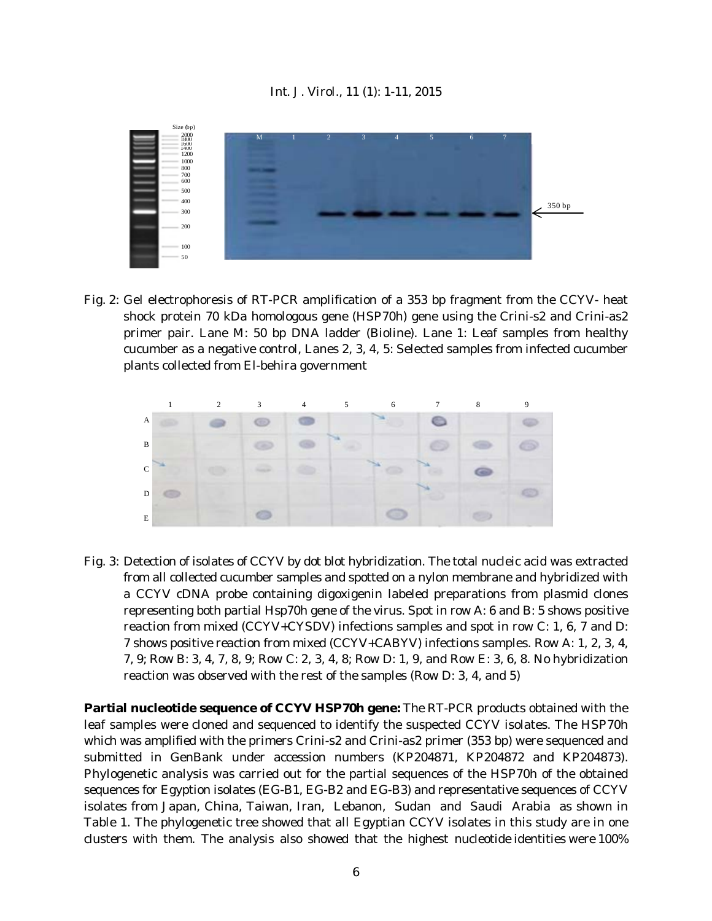

Fig. 2: Gel electrophoresis of RT-PCR amplification of a 353 bp fragment from the CCYV- heat shock protein 70 kDa homologous gene (HSP70h) gene using the Crini-s2 and Crini-as2 primer pair. Lane M: 50 bp DNA ladder (Bioline). Lane 1: Leaf samples from healthy cucumber as a negative control, Lanes 2, 3, 4, 5: Selected samples from infected cucumber plants collected from El-behira government



Fig. 3: Detection of isolates of CCYV by dot blot hybridization. The total nucleic acid was extracted from all collected cucumber samples and spotted on a nylon membrane and hybridized with a CCYV cDNA probe containing digoxigenin labeled preparations from plasmid clones representing both partial Hsp70h gene of the virus. Spot in row A: 6 and B: 5 shows positive reaction from mixed (CCYV+CYSDV) infections samples and spot in row C: 1, 6, 7 and D: 7 shows positive reaction from mixed (CCYV+CABYV) infections samples. Row A: 1, 2, 3, 4, 7, 9; Row B: 3, 4, 7, 8, 9; Row C: 2, 3, 4, 8; Row D: 1, 9, and Row E: 3, 6, 8. No hybridization reaction was observed with the rest of the samples (Row D: 3, 4, and 5)

**Partial nucleotide sequence of CCYV HSP70h gene:** The RT-PCR products obtained with the leaf samples were cloned and sequenced to identify the suspected CCYV isolates. The HSP70h which was amplified with the primers Crini-s2 and Crini-as2 primer (353 bp) were sequenced and submitted in GenBank under accession numbers (KP204871, KP204872 and KP204873). Phylogenetic analysis was carried out for the partial sequences of the HSP70h of the obtained sequences for Egyption isolates (EG-B1, EG-B2 and EG-B3) and representative sequences of CCYV isolates from Japan, China, Taiwan, Iran, Lebanon, Sudan and Saudi Arabia as shown in Table 1. The phylogenetic tree showed that all Egyptian CCYV isolates in this study are in one clusters with them. The analysis also showed that the highest nucleotide identities were 100%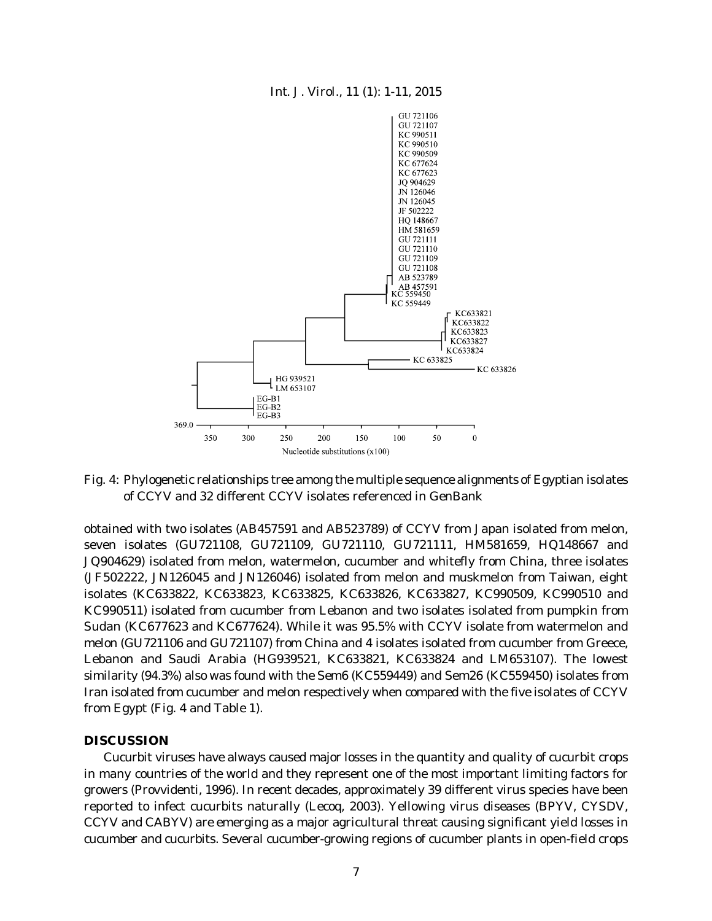

Fig. 4: Phylogenetic relationships tree among the multiple sequence alignments of Egyptian isolates of CCYV and 32 different CCYV isolates referenced in GenBank

obtained with two isolates (AB457591 and AB523789) of CCYV from Japan isolated from melon, seven isolates (GU721108, GU721109, GU721110, GU721111, HM581659, HQ148667 and JQ904629) isolated from melon, watermelon, cucumber and whitefly from China, three isolates (JF502222, JN126045 and JN126046) isolated from melon and muskmelon from Taiwan, eight isolates (KC633822, KC633823, KC633825, KC633826, KC633827, KC990509, KC990510 and KC990511) isolated from cucumber from Lebanon and two isolates isolated from pumpkin from Sudan (KC677623 and KC677624). While it was 95.5% with CCYV isolate from watermelon and melon (GU721106 and GU721107) from China and 4 isolates isolated from cucumber from Greece, Lebanon and Saudi Arabia (HG939521, KC633821, KC633824 and LM653107). The lowest similarity (94.3%) also was found with the Sem6 (KC559449) and Sem26 (KC559450) isolates from Iran isolated from cucumber and melon respectively when compared with the five isolates of CCYV from Egypt (Fig. 4 and Table 1).

## **DISCUSSION**

Cucurbit viruses have always caused major losses in the quantity and quality of cucurbit crops in many countries of the world and they represent one of the most important limiting factors for growers (Provvidenti, 1996). In recent decades, approximately 39 different virus species have been reported to infect cucurbits naturally (Lecoq, 2003). Yellowing virus diseases (BPYV, CYSDV, CCYV and CABYV) are emerging as a major agricultural threat causing significant yield losses in cucumber and cucurbits. Several cucumber-growing regions of cucumber plants in open-field crops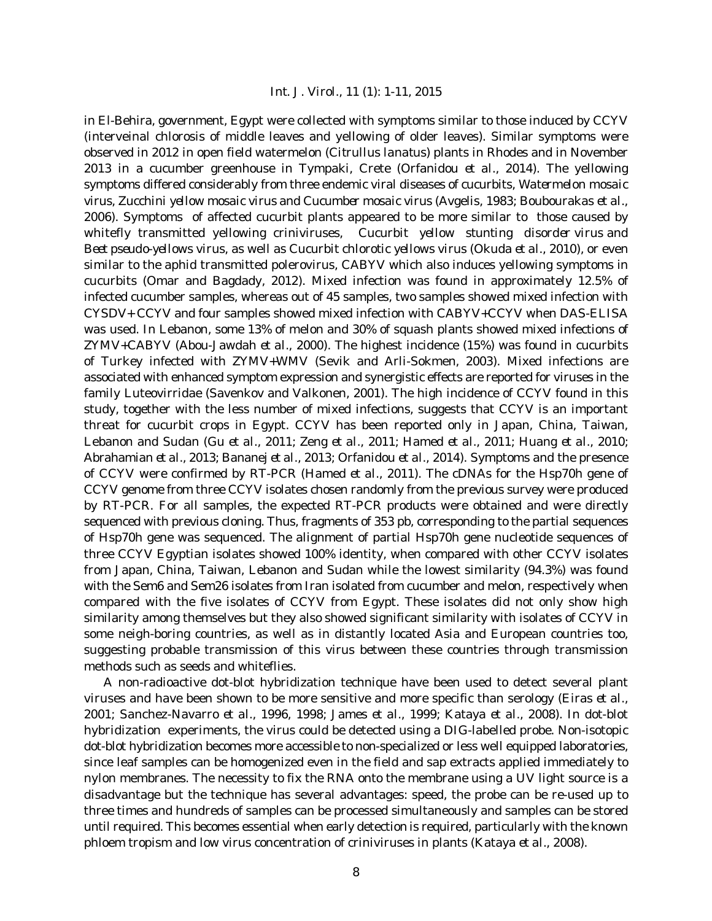in El-Behira, government, Egypt were collected with symptoms similar to those induced by CCYV (interveinal chlorosis of middle leaves and yellowing of older leaves). Similar symptoms were observed in 2012 in open field watermelon (*Citrullus lanatus*) plants in Rhodes and in November 2013 in a cucumber greenhouse in Tympaki, Crete (Orfanidou *et al*., 2014). The yellowing symptoms differed considerably from three endemic viral diseases of cucurbits, *Watermelon mosaic virus*, *Zucchini yellow mosaic virus* and *Cucumber mosaic virus* (Avgelis, 1983; Boubourakas *et al*., 2006). Symptoms of affected cucurbit plants appeared to be more similar to those caused by whitefly transmitted yellowing criniviruses, *Cucurbit yellow stunting disorder virus* and *Beet pseudo-yellows virus*, as well as *Cucurbit chlorotic yellows virus* (Okuda *et al*., 2010), or even similar to the aphid transmitted polerovirus, CABYV which also induces yellowing symptoms in cucurbits (Omar and Bagdady, 2012). Mixed infection was found in approximately 12.5% of infected cucumber samples, whereas out of 45 samples, two samples showed mixed infection with CYSDV+ CCYV and four samples showed mixed infection with CABYV+CCYV when DAS-ELISA was used. In Lebanon, some 13% of melon and 30% of squash plants showed mixed infections of ZYMV+CABYV (Abou-Jawdah *et al*., 2000). The highest incidence (15%) was found in cucurbits of Turkey infected with ZYMV+WMV (Sevik and Arli-Sokmen, 2003). Mixed infections are associated with enhanced symptom expression and synergistic effects are reported for viruses in the family Luteovirridae (Savenkov and Valkonen, 2001). The high incidence of CCYV found in this study, together with the less number of mixed infections, suggests that CCYV is an important threat for cucurbit crops in Egypt. CCYV has been reported only in Japan, China, Taiwan, Lebanon and Sudan (Gu *et al*., 2011; Zeng *et al*., 2011; Hamed *et al*., 2011; Huang *et al*., 2010; Abrahamian *et al*., 2013; Bananej *et al*., 2013; Orfanidou *et al*., 2014). Symptoms and the presence of CCYV were confirmed by RT-PCR (Hamed *et al*., 2011). The cDNAs for the Hsp70h gene of CCYV genome from three CCYV isolates chosen randomly from the previous survey were produced by RT-PCR. For all samples, the expected RT-PCR products were obtained and were directly sequenced with previous cloning. Thus, fragments of 353 pb, corresponding to the partial sequences of Hsp70h gene was sequenced. The alignment of partial Hsp70h gene nucleotide sequences of three CCYV Egyptian isolates showed 100% identity, when compared with other CCYV isolates from Japan, China, Taiwan, Lebanon and Sudan while the lowest similarity (94.3%) was found with the Sem6 and Sem26 isolates from Iran isolated from cucumber and melon, respectively when compared with the five isolates of CCYV from Egypt. These isolates did not only show high similarity among themselves but they also showed significant similarity with isolates of CCYV in some neigh-boring countries, as well as in distantly located Asia and European countries too, suggesting probable transmission of this virus between these countries through transmission methods such as seeds and whiteflies.

A non-radioactive dot-blot hybridization technique have been used to detect several plant viruses and have been shown to be more sensitive and more specific than serology (Eiras *et al*., 2001; Sanchez-Navarro *et al*., 1996, 1998; James *et al*., 1999; Kataya *et al*., 2008). In dot-blot hybridization experiments, the virus could be detected using a DIG-labelled probe. Non-isotopic dot-blot hybridization becomes more accessible to non-specialized or less well equipped laboratories, since leaf samples can be homogenized even in the field and sap extracts applied immediately to nylon membranes. The necessity to fix the RNA onto the membrane using a UV light source is a disadvantage but the technique has several advantages: speed, the probe can be re-used up to three times and hundreds of samples can be processed simultaneously and samples can be stored until required. This becomes essential when early detection is required, particularly with the known phloem tropism and low virus concentration of criniviruses in plants (Kataya *et al*., 2008).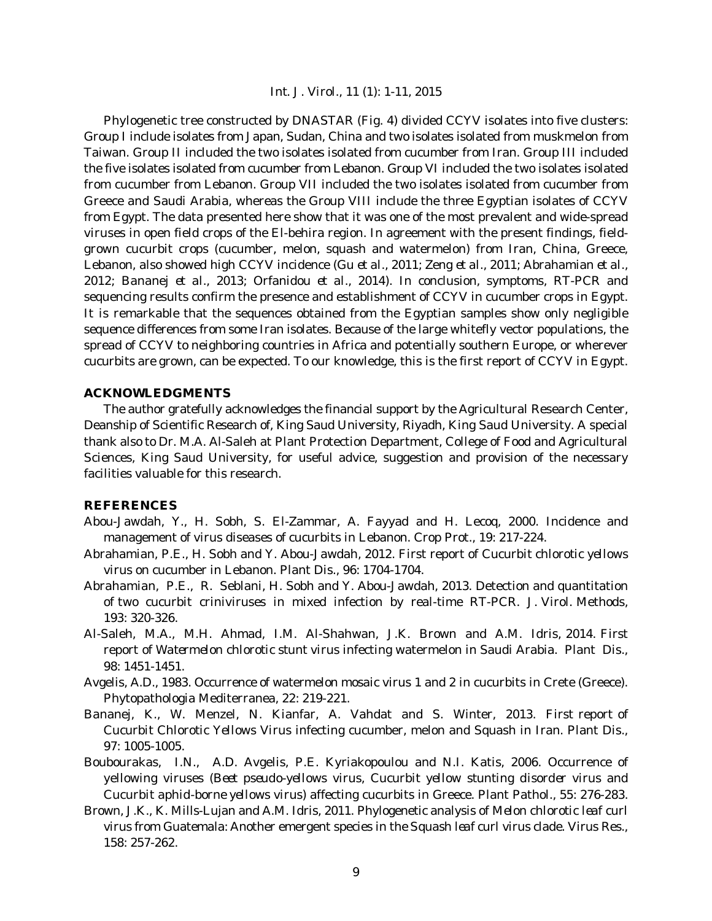Phylogenetic tree constructed by DNASTAR (Fig. 4) divided CCYV isolates into five clusters: Group I include isolates from Japan, Sudan, China and two isolates isolated from muskmelon from Taiwan. Group II included the two isolates isolated from cucumber from Iran. Group III included the five isolates isolated from cucumber from Lebanon. Group VI included the two isolates isolated from cucumber from Lebanon. Group VII included the two isolates isolated from cucumber from Greece and Saudi Arabia, whereas the Group VIII include the three Egyptian isolates of CCYV from Egypt. The data presented here show that it was one of the most prevalent and wide-spread viruses in open field crops of the El-behira region. In agreement with the present findings, fieldgrown cucurbit crops (cucumber, melon, squash and watermelon) from Iran, China, Greece, Lebanon, also showed high CCYV incidence (Gu *et al*., 2011; Zeng *et al*., 2011; Abrahamian *et al*., 2012; Bananej *et al*., 2013; Orfanidou *et al*., 2014). In conclusion, symptoms, RT-PCR and sequencing results confirm the presence and establishment of CCYV in cucumber crops in Egypt. It is remarkable that the sequences obtained from the Egyptian samples show only negligible sequence differences from some Iran isolates. Because of the large whitefly vector populations, the spread of CCYV to neighboring countries in Africa and potentially southern Europe, or wherever cucurbits are grown, can be expected. To our knowledge, this is the first report of CCYV in Egypt.

#### **ACKNOWLEDGMENTS**

The author gratefully acknowledges the financial support by the Agricultural Research Center, Deanship of Scientific Research of, King Saud University, Riyadh, King Saud University. A special thank also to Dr. M.A. Al-Saleh at Plant Protection Department, College of Food and Agricultural Sciences, King Saud University, for useful advice, suggestion and provision of the necessary facilities valuable for this research.

## **REFERENCES**

- Abou-Jawdah, Y., H. Sobh, S. El-Zammar, A. Fayyad and H. Lecoq, 2000. Incidence and management of virus diseases of cucurbits in Lebanon. Crop Prot., 19: 217-224.
- Abrahamian, P.E., H. Sobh and Y. Abou-Jawdah, 2012. First report of *Cucurbit chlorotic yellows virus* on cucumber in Lebanon. Plant Dis., 96: 1704-1704.
- Abrahamian, P.E., R. Seblani, H. Sobh and Y. Abou-Jawdah, 2013. Detection and quantitation of two cucurbit criniviruses in mixed infection by real-time RT-PCR. J. Virol. Methods, 193: 320-326.
- Al-Saleh, M.A., M.H. Ahmad, I.M. Al-Shahwan, J.K. Brown and A.M. Idris, 2014. First report of *Watermelon chlorotic stunt virus* infecting watermelon in Saudi Arabia. Plant Dis., 98: 1451-1451.
- Avgelis, A.D., 1983. Occurrence of watermelon mosaic virus 1 and 2 in cucurbits in Crete (Greece). Phytopathologia Mediterranea, 22: 219-221.
- Bananej, K., W. Menzel, N. Kianfar, A. Vahdat and S. Winter, 2013. First report of *Cucurbit Chlorotic Yellows Virus* infecting cucumber, melon and Squash in Iran. Plant Dis., 97: 1005-1005.
- Boubourakas, I.N., A.D. Avgelis, P.E. Kyriakopoulou and N.I. Katis, 2006. Occurrence of yellowing viruses (*Beet pseudo*-*yellows virus*, *Cucurbit yellow stunting disorder virus* and *Cucurbit aphid*-*borne yellows virus*) affecting cucurbits in Greece. Plant Pathol., 55: 276-283.
- Brown, J.K., K. Mills-Lujan and A.M. Idris, 2011. Phylogenetic analysis of *Melon chlorotic leaf curl virus* from Guatemala: Another emergent species in the *Squash leaf curl virus* clade. Virus Res., 158: 257-262.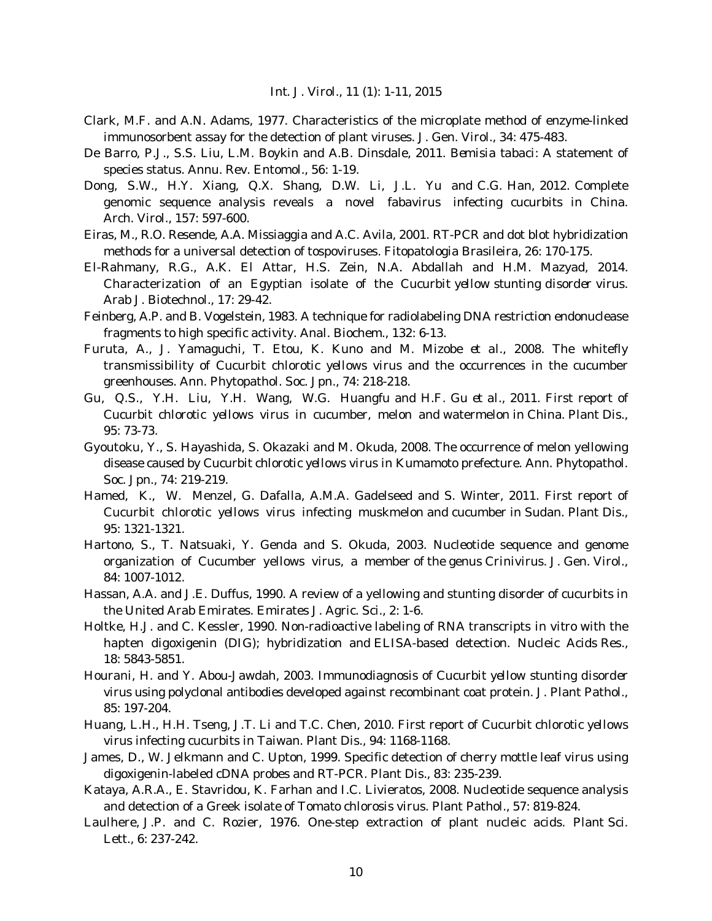- Clark, M.F. and A.N. Adams, 1977. Characteristics of the microplate method of enzyme-linked immunosorbent assay for the detection of plant viruses. J. Gen. Virol., 34: 475-483.
- De Barro, P.J., S.S. Liu, L.M. Boykin and A.B. Dinsdale, 2011. *Bemisia tabaci*: A statement of species status. Annu. Rev. Entomol., 56: 1-19.
- Dong, S.W., H.Y. Xiang, Q.X. Shang, D.W. Li, J.L. Yu and C.G. Han, 2012. Complete genomic sequence analysis reveals a novel fabavirus infecting cucurbits in China. Arch. Virol., 157: 597-600.
- Eiras, M., R.O. Resende, A.A. Missiaggia and A.C. Avila, 2001. RT-PCR and dot blot hybridization methods for a universal detection of tospoviruses. Fitopatologia Brasileira, 26: 170-175.
- El-Rahmany, R.G., A.K. El Attar, H.S. Zein, N.A. Abdallah and H.M. Mazyad, 2014. Characterization of an Egyptian isolate of the *Cucurbit yellow stunting disorder* virus. Arab J. Biotechnol., 17: 29-42.
- Feinberg, A.P. and B. Vogelstein, 1983. A technique for radiolabeling DNA restriction endonuclease fragments to high specific activity. Anal. Biochem., 132: 6-13.
- Furuta, A., J. Yamaguchi, T. Etou, K. Kuno and M. Mizobe *et al*., 2008. The whitefly transmissibility of *Cucurbit chlorotic yellows virus* and the occurrences in the cucumber greenhouses. Ann. Phytopathol. Soc. Jpn., 74: 218-218.
- Gu, Q.S., Y.H. Liu, Y.H. Wang, W.G. Huangfu and H.F. Gu *et al*., 2011. First report of *Cucurbit chlorotic yellows virus* in cucumber, melon and watermelon in China. Plant Dis., 95: 73-73.
- Gyoutoku, Y., S. Hayashida, S. Okazaki and M. Okuda, 2008. The occurrence of melon yellowing disease caused by *Cucurbit chlorotic yellows virus* in Kumamoto prefecture. Ann. Phytopathol. Soc. Jpn., 74: 219-219.
- Hamed, K., W. Menzel, G. Dafalla, A.M.A. Gadelseed and S. Winter, 2011. First report of *Cucurbit chlorotic yellows virus* infecting muskmelon and cucumber in Sudan. Plant Dis., 95: 1321-1321.
- Hartono, S., T. Natsuaki, Y. Genda and S. Okuda, 2003. Nucleotide sequence and genome organization of Cucumber yellows virus, a member of the genus *Crinivirus*. J. Gen. Virol., 84: 1007-1012.
- Hassan, A.A. and J.E. Duffus, 1990. A review of a yellowing and stunting disorder of cucurbits in the United Arab Emirates. Emirates J. Agric. Sci., 2: 1-6.
- Holtke, H.J. and C. Kessler, 1990. Non-radioactive labeling of RNA transcripts *in vitro* with the hapten digoxigenin (DIG); hybridization and ELISA-based detection. Nucleic Acids Res., 18: 5843-5851.
- Hourani, H. and Y. Abou-Jawdah, 2003. Immunodiagnosis of *Cucurbit yellow stunting disorder virus* using polyclonal antibodies developed against recombinant coat protein. J. Plant Pathol., 85: 197-204.
- Huang, L.H., H.H. Tseng, J.T. Li and T.C. Chen, 2010. First report of *Cucurbit chlorotic yellows virus* infecting cucurbits in Taiwan. Plant Dis., 94: 1168-1168.
- James, D., W. Jelkmann and C. Upton, 1999. Specific detection of cherry mottle leaf virus using digoxigenin-labeled cDNA probes and RT-PCR. Plant Dis., 83: 235-239.
- Kataya, A.R.A., E. Stavridou, K. Farhan and I.C. Livieratos, 2008. Nucleotide sequence analysis and detection of a Greek isolate of *Tomato chlorosis virus*. Plant Pathol., 57: 819-824.
- Laulhere, J.P. and C. Rozier, 1976. One-step extraction of plant nucleic acids. Plant Sci. Lett., 6: 237-242.